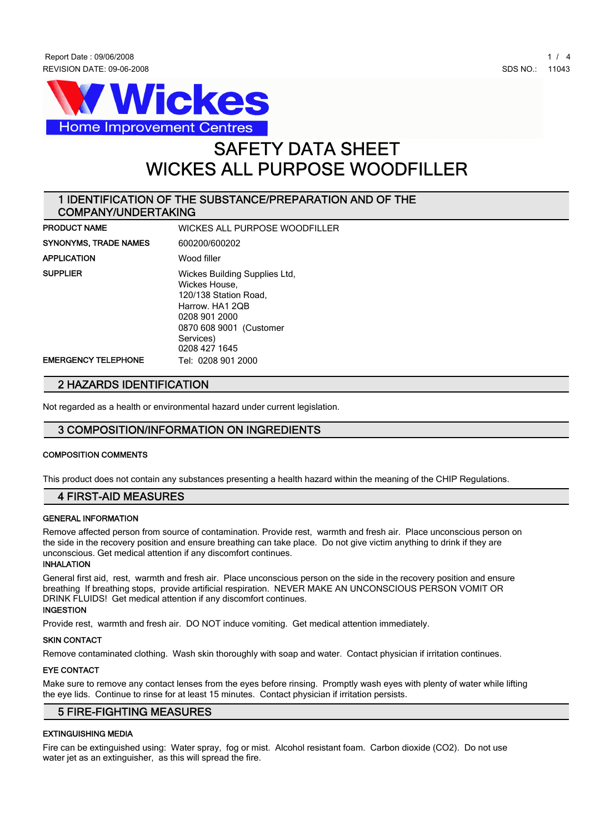



# **SAFETY DATA SHEET WICKES ALL PURPOSE WOODFILLER**

# **1 IDENTIFICATION OF THE SUBSTANCE/PREPARATION AND OF THE COMPANY/UNDERTAKING**

| <b>PRODUCT NAME</b>          | WICKES ALL PURPOSE WOODFILLER                                                                                                                                        |
|------------------------------|----------------------------------------------------------------------------------------------------------------------------------------------------------------------|
| <b>SYNONYMS, TRADE NAMES</b> | 600200/600202                                                                                                                                                        |
| <b>APPLICATION</b>           | Wood filler                                                                                                                                                          |
| <b>SUPPLIER</b>              | Wickes Building Supplies Ltd,<br>Wickes House,<br>120/138 Station Road,<br>Harrow. HA1 2QB<br>0208 901 2000<br>0870 608 9001 (Customer<br>Services)<br>0208 427 1645 |
| <b>EMERGENCY TELEPHONE</b>   | Tel: 0208 901 2000                                                                                                                                                   |

# **2 HAZARDS IDENTIFICATION**

**Not regarded as a health or environmental hazard under current legislation.**

# **3 COMPOSITION/INFORMATION ON INGREDIENTS**

# **COMPOSITION COMMENTS**

**This product does not contain any substances presenting a health hazard within the meaning of the CHIP Regulations.**

# **4 FIRST-AID MEASURES**

### **GENERAL INFORMATION**

**Remove affected person from source of contamination. Provide rest, warmth and fresh air. Place unconscious person on the side in the recovery position and ensure breathing can take place. Do not give victim anything to drink if they are unconscious. Get medical attention if any discomfort continues.**

#### **INHALATION**

**General first aid, rest, warmth and fresh air. Place unconscious person on the side in the recovery position and ensure breathing If breathing stops, provide artificial respiration. NEVER MAKE AN UNCONSCIOUS PERSON VOMIT OR DRINK FLUIDS! Get medical attention if any discomfort continues.**

# **INGESTION**

**Provide rest, warmth and fresh air. DO NOT induce vomiting. Get medical attention immediately.**

#### **SKIN CONTACT**

**Remove contaminated clothing. Wash skin thoroughly with soap and water. Contact physician if irritation continues.**

#### **EYE CONTACT**

**Make sure to remove any contact lenses from the eyes before rinsing. Promptly wash eyes with plenty of water while lifting the eye lids. Continue to rinse for at least 15 minutes. Contact physician if irritation persists.**

# **5 FIRE-FIGHTING MEASURES**

#### **EXTINGUISHING MEDIA**

**Fire can be extinguished using: Water spray, fog or mist. Alcohol resistant foam. Carbon dioxide (CO2). Do not use water jet as an extinguisher, as this will spread the fire.**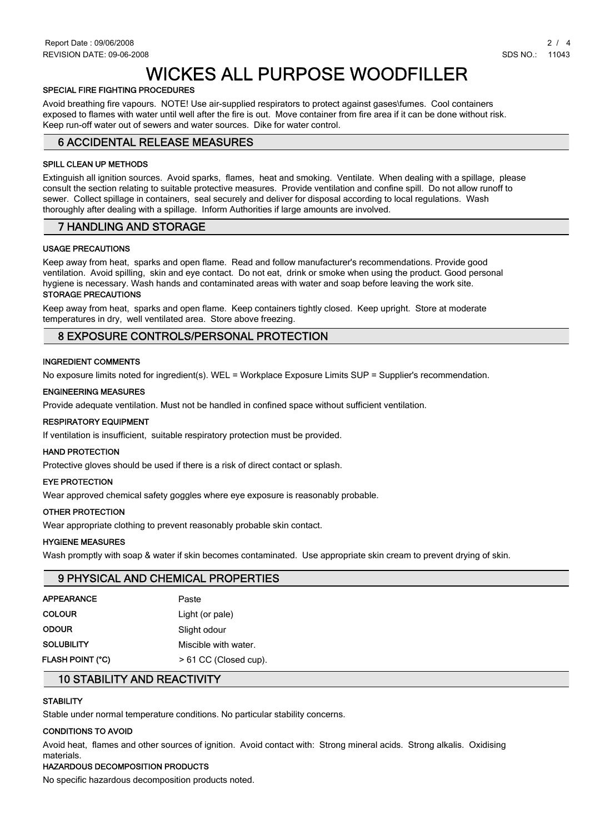# **WICKES ALL PURPOSE WOODFILLER**

# **SPECIAL FIRE FIGHTING PROCEDURES**

**Avoid breathing fire vapours. NOTE! Use air-supplied respirators to protect against gases\fumes. Cool containers exposed to flames with water until well after the fire is out. Move container from fire area if it can be done without risk. Keep run-off water out of sewers and water sources. Dike for water control.**

# **6 ACCIDENTAL RELEASE MEASURES**

### **SPILL CLEAN UP METHODS**

**Extinguish all ignition sources. Avoid sparks, flames, heat and smoking. Ventilate. When dealing with a spillage, please consult the section relating to suitable protective measures. Provide ventilation and confine spill. Do not allow runoff to sewer. Collect spillage in containers, seal securely and deliver for disposal according to local regulations. Wash thoroughly after dealing with a spillage. Inform Authorities if large amounts are involved.**

# **7 HANDLING AND STORAGE**

## **USAGE PRECAUTIONS**

**Keep away from heat, sparks and open flame. Read and follow manufacturer's recommendations. Provide good ventilation. Avoid spilling, skin and eye contact. Do not eat, drink or smoke when using the product. Good personal hygiene is necessary. Wash hands and contaminated areas with water and soap before leaving the work site. STORAGE PRECAUTIONS**

#### **Keep away from heat, sparks and open flame. Keep containers tightly closed. Keep upright. Store at moderate temperatures in dry, well ventilated area. Store above freezing.**

# **8 EXPOSURE CONTROLS/PERSONAL PROTECTION**

## **INGREDIENT COMMENTS**

**No exposure limits noted for ingredient(s). WEL = Workplace Exposure Limits SUP = Supplier's recommendation.**

#### **ENGINEERING MEASURES**

**Provide adequate ventilation. Must not be handled in confined space without sufficient ventilation.**

### **RESPIRATORY EQUIPMENT**

**If ventilation is insufficient, suitable respiratory protection must be provided.**

#### **HAND PROTECTION**

**Protective gloves should be used if there is a risk of direct contact or splash.**

#### **EYE PROTECTION**

**Wear approved chemical safety goggles where eye exposure is reasonably probable.**

#### **OTHER PROTECTION**

**Wear appropriate clothing to prevent reasonably probable skin contact.**

#### **HYGIENE MEASURES**

**Wash promptly with soap & water if skin becomes contaminated. Use appropriate skin cream to prevent drying of skin.**

# **9 PHYSICAL AND CHEMICAL PROPERTIES**

| <b>APPEARANCE</b> | Paste                   |
|-------------------|-------------------------|
| <b>COLOUR</b>     | Light (or pale)         |
| <b>ODOUR</b>      | Slight odour            |
| <b>SOLUBILITY</b> | Miscible with water.    |
| FLASH POINT (°C)  | $> 61$ CC (Closed cup). |

# **10 STABILITY AND REACTIVITY**

# **STABILITY**

**Stable under normal temperature conditions. No particular stability concerns.**

# **CONDITIONS TO AVOID**

**Avoid heat, flames and other sources of ignition. Avoid contact with: Strong mineral acids. Strong alkalis. Oxidising materials.**

# **HAZARDOUS DECOMPOSITION PRODUCTS**

**No specific hazardous decomposition products noted.**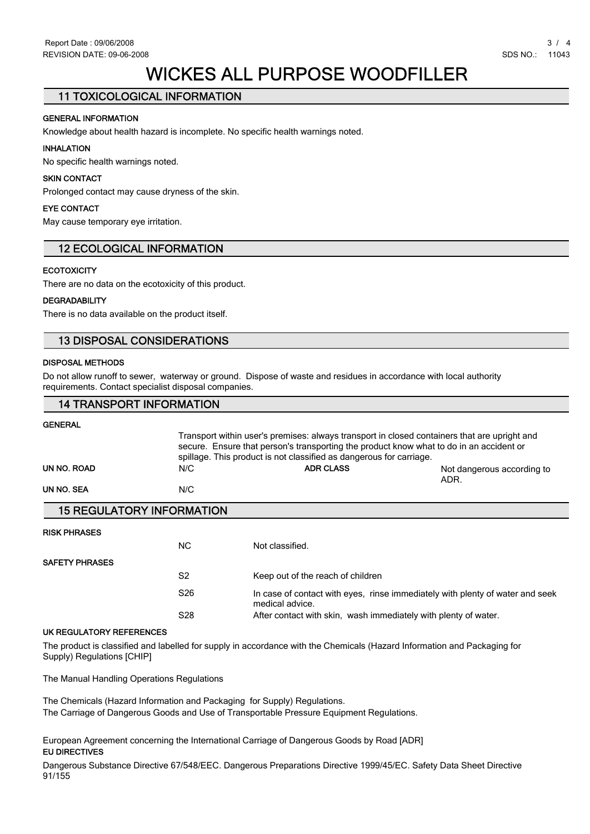# **WICKES ALL PURPOSE WOODFILLER**

# **11 TOXICOLOGICAL INFORMATION**

# **GENERAL INFORMATION**

**Knowledge about health hazard is incomplete. No specific health warnings noted.**

# **INHALATION**

**No specific health warnings noted.**

# **SKIN CONTACT**

**Prolonged contact may cause dryness of the skin.**

# **EYE CONTACT**

**May cause temporary eye irritation.**

# **12 ECOLOGICAL INFORMATION**

# **ECOTOXICITY**

**There are no data on the ecotoxicity of this product.**

# **DEGRADABILITY**

**There is no data available on the product itself.**

# **13 DISPOSAL CONSIDERATIONS**

# **DISPOSAL METHODS**

**Do not allow runoff to sewer, waterway or ground. Dispose of waste and residues in accordance with local authority requirements. Contact specialist disposal companies.**

# **14 TRANSPORT INFORMATION**

#### **GENERAL**

|             |                                  | Transport within user's premises: always transport in closed containers that are upright and<br>secure. Ensure that person's transporting the product know what to do in an accident or<br>spillage. This product is not classified as dangerous for carriage. |                                    |  |  |  |
|-------------|----------------------------------|----------------------------------------------------------------------------------------------------------------------------------------------------------------------------------------------------------------------------------------------------------------|------------------------------------|--|--|--|
| UN NO. ROAD | N/C                              | <b>ADR CLASS</b>                                                                                                                                                                                                                                               | Not dangerous according to<br>ADR. |  |  |  |
| UN NO. SEA  | N/C                              |                                                                                                                                                                                                                                                                |                                    |  |  |  |
|             | <b>15 REGULATORY INFORMATION</b> |                                                                                                                                                                                                                                                                |                                    |  |  |  |

#### **RISK PHRASES**

|                       | NC.             | Not classified.                                                                                  |
|-----------------------|-----------------|--------------------------------------------------------------------------------------------------|
| <b>SAFETY PHRASES</b> |                 |                                                                                                  |
|                       | S <sub>2</sub>  | Keep out of the reach of children                                                                |
|                       | S <sub>26</sub> | In case of contact with eyes, rinse immediately with plenty of water and seek<br>medical advice. |
|                       | S28             | After contact with skin, wash immediately with plenty of water.                                  |

#### **UK REGULATORY REFERENCES**

**The product is classified and labelled for supply in accordance with the Chemicals (Hazard Information and Packaging for Supply) Regulations [CHIP]**

**The Manual Handling Operations Regulations**

**The Chemicals (Hazard Information and Packaging for Supply) Regulations. The Carriage of Dangerous Goods and Use of Transportable Pressure Equipment Regulations.**

**European Agreement concerning the International Carriage of Dangerous Goods by Road [ADR] EU DIRECTIVES**

**Dangerous Substance Directive 67/548/EEC. Dangerous Preparations Directive 1999/45/EC. Safety Data Sheet Directive 91/155**